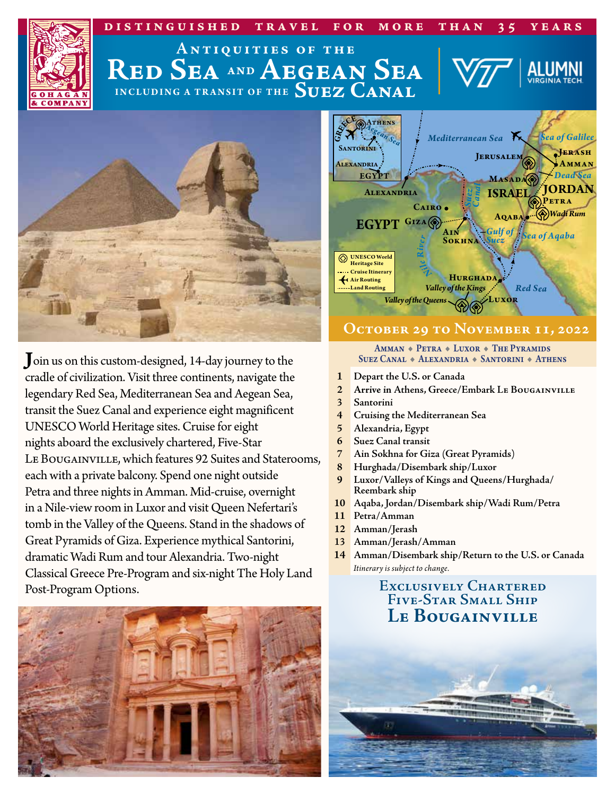



# **INCLUDING A TRANSIT OF THE Suez Canal Red Sea AND Aegean Sea Antiquities of the**



**J**oin us on this custom-designed, 14-day journey to the cradle of civilization. Visit three continents, navigate the legendary Red Sea, Mediterranean Sea and Aegean Sea, transit the Suez Canal and experience eight magnificent UNESCO World Heritage sites. Cruise for eight nights aboard the exclusively chartered, Five-Star Le Bougainville, which features 92 Suites and Staterooms, each with a private balcony. Spend one night outside Petra and three nights in Amman. Mid-cruise, overnight in a Nile-view room in Luxor and visit Queen Nefertari's tomb in the Valley of the Queens. Stand in the shadows of Great Pyramids of Giza. Experience mythical Santorini, dramatic Wadi Rum and tour Alexandria. Two-night Classical Greece Pre-Program and six-night The Holy Land Post-Program Options.





## **October 29 to November 11, 2022**

AMMAN . PETRA + LUXOR + THE PYRAMIDS Suez Canal + Alexandria + Santorini + Athens

- **1 Depart the U.S. or Canada**
- **2 Arrive in Athens, Greece/Embark Le Bougainville**
- **3 Santorini**
- **4 Cruising the Mediterranean Sea**
- **5 Alexandria, Egypt**
- **6 Suez Canal transit**
- **7 Ain Sokhna for Giza (Great Pyramids)**
- **8 Hurghada/Disembark ship/Luxor**
- **<sup>9</sup> Luxor/Valleys of Kings and Queens/Hurghada/ Reembark ship**
- **10 Aqaba, Jordan/Disembark ship/Wadi Rum/Petra**
- **11 Petra/Amman**
- **12 Amman/Jerash**
- **13 Amman/Jerash/Amman**
- **14 Amman/Disembark ship/Return to the U.S. or Canada**  *Itinerary is subject to change.*

# **Exclusively Chartered Five-Star Small Ship Le Bougainville**